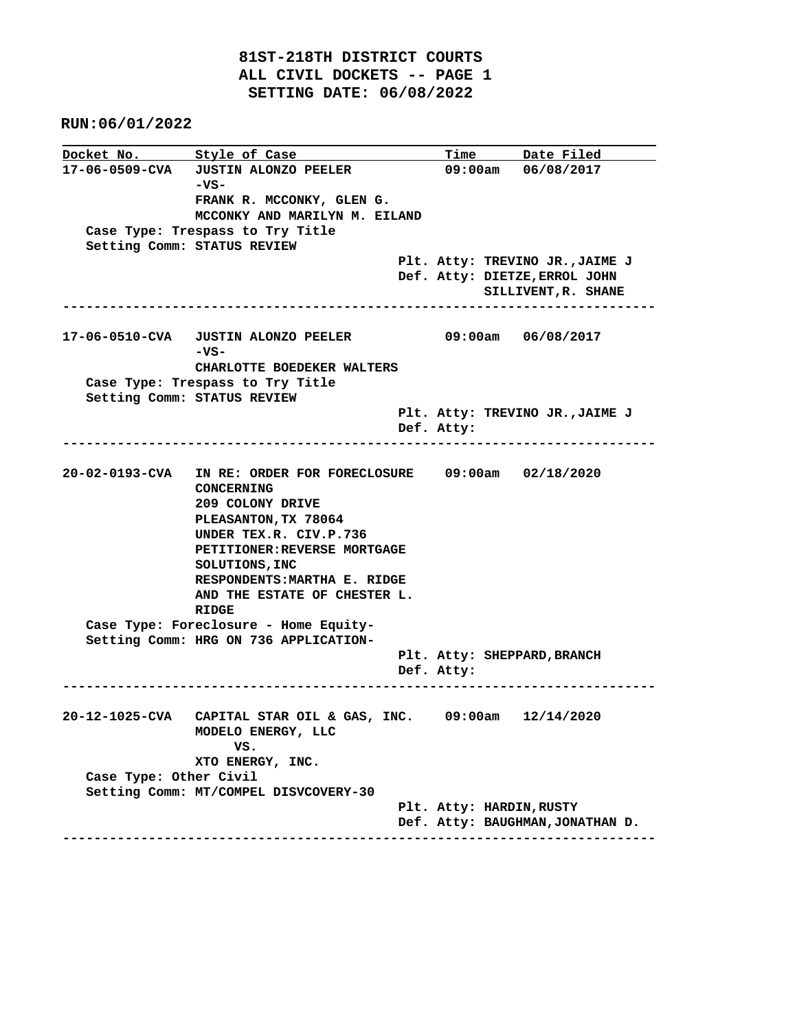**81ST-218TH DISTRICT COURTS ALL CIVIL DOCKETS -- PAGE 1 SETTING DATE: 06/08/2022**

 **RUN:06/01/2022**

**Docket No. Style of Case Time Date Filed 17-06-0509-CVA JUSTIN ALONZO PEELER 09:00am 06/08/2017 -VS- FRANK R. MCCONKY, GLEN G. MCCONKY AND MARILYN M. EILAND Case Type: Trespass to Try Title Setting Comm: STATUS REVIEW Plt. Atty: TREVINO JR.,JAIME J Def. Atty: DIETZE,ERROL JOHN SILLIVENT,R. SHANE ---------------------------------------------------------------------------- 17-06-0510-CVA JUSTIN ALONZO PEELER 09:00am 06/08/2017 -VS- CHARLOTTE BOEDEKER WALTERS Case Type: Trespass to Try Title Setting Comm: STATUS REVIEW Plt. Atty: TREVINO JR.,JAIME J Def. Atty: ---------------------------------------------------------------------------- 20-02-0193-CVA IN RE: ORDER FOR FORECLOSURE 09:00am 02/18/2020 CONCERNING 209 COLONY DRIVE PLEASANTON,TX 78064 UNDER TEX.R. CIV.P.736 PETITIONER:REVERSE MORTGAGE SOLUTIONS,INC RESPONDENTS:MARTHA E. RIDGE AND THE ESTATE OF CHESTER L. RIDGE Case Type: Foreclosure - Home Equity- Setting Comm: HRG ON 736 APPLICATION- Plt. Atty: SHEPPARD,BRANCH Def. Atty: ---------------------------------------------------------------------------- 20-12-1025-CVA CAPITAL STAR OIL & GAS, INC. 09:00am 12/14/2020 MODELO ENERGY, LLC VS. XTO ENERGY, INC. Case Type: Other Civil Setting Comm: MT/COMPEL DISVCOVERY-30 Plt. Atty: HARDIN,RUSTY Def. Atty: BAUGHMAN,JONATHAN D. ----------------------------------------------------------------------------**